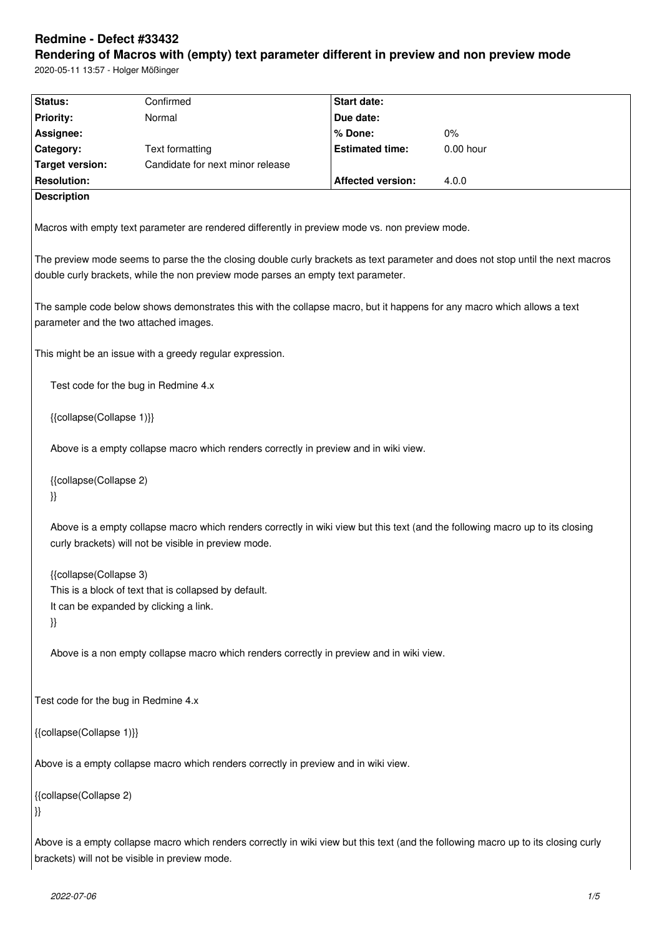# **Redmine - Defect #33432**

**Rendering of Macros with (empty) text parameter different in preview and non preview mode** 2020-05-11 13:57 - Holger Mößinger

**Status:** Confirmed **Start date: Priority:** Normal **Due date: Assignee: % Done:** 0% **Category:** Text formatting **Estimated time:** 0.00 hour **Target version:** Candidate for next minor release **Resolution: Affected version:** 4.0.0 **Description** Macros with empty text parameter are rendered differently in preview mode vs. non preview mode. The preview mode seems to parse the the closing double curly brackets as text parameter and does not stop until the next macros double curly brackets, while the non preview mode parses an empty text parameter. The sample code below shows demonstrates this with the collapse macro, but it happens for any macro which allows a text parameter and the two attached images. This might be an issue with a greedy regular expression. Test code for the bug in Redmine 4.x {{collapse(Collapse 1)}} Above is a empty collapse macro which renders correctly in preview and in wiki view. {{collapse(Collapse 2) }} Above is a empty collapse macro which renders correctly in wiki view but this text (and the following macro up to its closing curly brackets) will not be visible in preview mode. {{collapse(Collapse 3) This is a block of text that is collapsed by default. It can be expanded by clicking a link. }} Above is a non empty collapse macro which renders correctly in preview and in wiki view. Test code for the bug in Redmine 4.x {{collapse(Collapse 1)}} Above is a empty collapse macro which renders correctly in preview and in wiki view. {{collapse(Collapse 2) }} Above is a empty collapse macro which renders correctly in wiki view but this text (and the following macro up to its closing curly brackets) will not be visible in preview mode.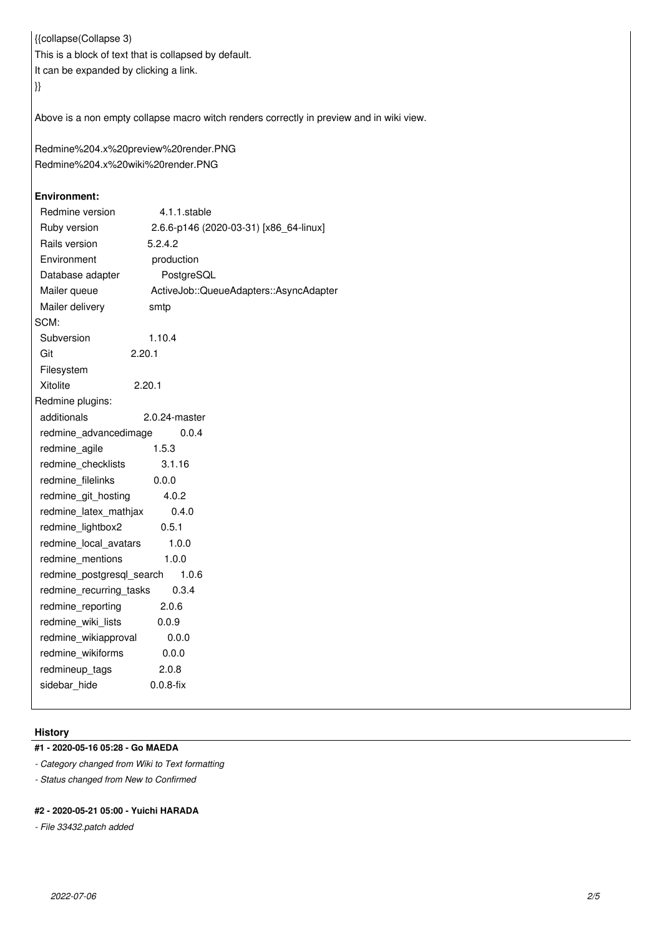{{collapse(Collapse 3) This is a block of text that is collapsed by default. It can be expanded by clicking a link. }}

Above is a non empty collapse macro witch renders correctly in preview and in wiki view.

Redmine%204.x%20preview%20render.PNG Redmine%204.x%20wiki%20render.PNG

# **Environment:**

| Redmine version           | 4.1.1.stable                           |
|---------------------------|----------------------------------------|
| Ruby version              | 2.6.6-p146 (2020-03-31) [x86_64-linux] |
| Rails version             | 5.2.4.2                                |
| Environment               | production                             |
| Database adapter          | PostgreSQL                             |
| Mailer queue              | ActiveJob::QueueAdapters::AsyncAdapter |
| Mailer delivery           | smtp                                   |
| SCM:                      |                                        |
| Subversion                | 1.10.4                                 |
| Git                       | 2.20.1                                 |
| Filesystem                |                                        |
| Xitolite                  | 2.20.1                                 |
| Redmine plugins:          |                                        |
| additionals               | $2.0.24$ -master                       |
| redmine advancedimage     | 0.0.4                                  |
| redmine agile             | 1.5.3                                  |
| redmine checklists        | 3.1.16                                 |
| redmine filelinks         | 0.0.0                                  |
| redmine git hosting       | 4.0.2                                  |
| redmine_latex_mathjax     | 0.4.0                                  |
| redmine_lightbox2         | 0.5.1                                  |
| redmine local avatars     | 1.0.0                                  |
| redmine mentions          | 1.0.0                                  |
| redmine_postgresql_search | 1.0.6                                  |
| redmine_recurring_tasks   | 0.3.4                                  |
| redmine_reporting         | 2.0.6                                  |
| redmine_wiki_lists        | 0.0.9                                  |
| redmine_wikiapproval      | 0.0.0                                  |
| redmine wikiforms         | 0.0.0                                  |
| redmineup_tags            | 2.0.8                                  |
| sidebar hide              | $0.0.8$ -fix                           |
|                           |                                        |

# **History**

# **#1 - 2020-05-16 05:28 - Go MAEDA**

*- Category changed from Wiki to Text formatting*

*- Status changed from New to Confirmed*

#### **#2 - 2020-05-21 05:00 - Yuichi HARADA**

*- File 33432.patch added*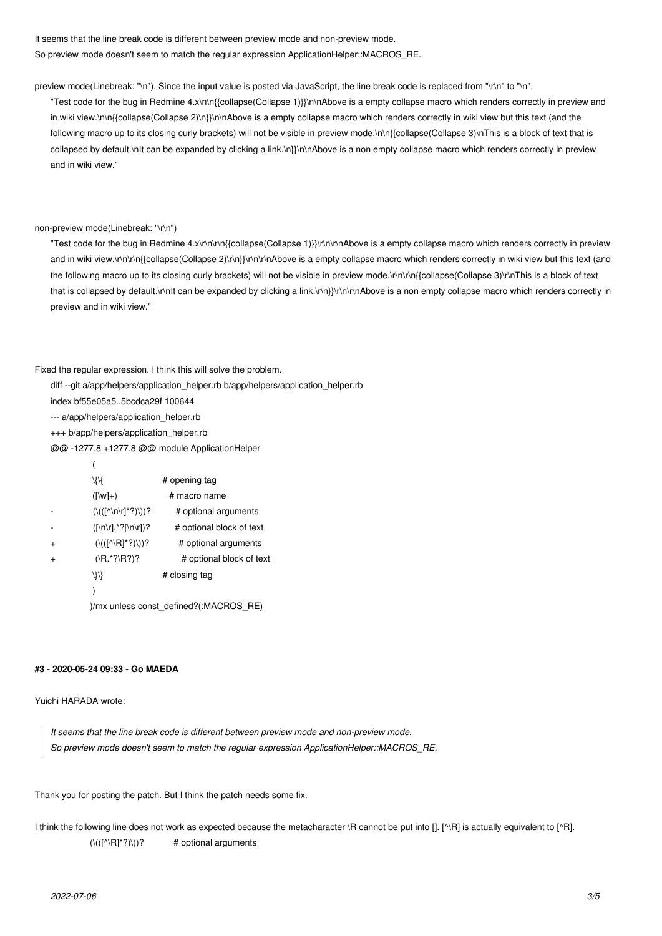It seems that the line break code is different between preview mode and non-preview mode. So preview mode doesn't seem to match the regular expression ApplicationHelper::MACROS\_RE.

preview mode(Linebreak: "\n"). Since the input value is posted via JavaScript, the line break code is replaced from "\r\n" to "\n".

"Test code for the bug in Redmine 4.x\n\n{{collapse(Collapse 1)}}\n\nAbove is a empty collapse macro which renders correctly in preview and in wiki view.\n\n{{collapse(Collapse 2)\n}}\n\nAbove is a empty collapse macro which renders correctly in wiki view but this text (and the following macro up to its closing curly brackets) will not be visible in preview mode.\n\n{{collapse(Collapse 3)\nThis is a block of text that is collapsed by default.\nIt can be expanded by clicking a link.\n}}\n\nAbove is a non empty collapse macro which renders correctly in preview and in wiki view."

non-preview mode(Linebreak: "\r\n")

"Test code for the bug in Redmine 4.x\r\n\r\n{{collapse(Collapse 1)}}\r\n\r\nAbove is a empty collapse macro which renders correctly in preview and in wiki view.\r\n\r\n{{collapse(Collapse 2)\r\n\r\nAbove is a empty collapse macro which renders correctly in wiki view but this text (and the following macro up to its closing curly brackets) will not be visible in preview mode.\r\n\r\n{{collapse(Collapse 3)\r\nThis is a block of text that is collapsed by default.\r\nIt can be expanded by clicking a link.\r\n}\r\n\r\nAbove is a non empty collapse macro which renders correctly in preview and in wiki view."

Fixed the regular expression. I think this will solve the problem.

diff --git a/app/helpers/application\_helper.rb b/app/helpers/application\_helper.rb

index bf55e05a5..5bcdca29f 100644

--- a/app/helpers/application\_helper.rb

+++ b/app/helpers/application\_helper.rb

@@ -1277,8 +1277,8 @@ module ApplicationHelper

|           | Иł                                                    | # opening tag            |  |  |  |  |
|-----------|-------------------------------------------------------|--------------------------|--|--|--|--|
|           | $(\lceil w \rceil + )$                                | # macro name             |  |  |  |  |
|           | $(\langle (f^{\wedge} \ln \rceil^*? ) \rangle )$ ?    | # optional arguments     |  |  |  |  |
|           | $( \n\rangle n r .^*? \n\rangle n r )^?$              | # optional block of text |  |  |  |  |
| $\ddot{}$ | $(\langle ( [^{\wedge} \setminus R]^*? ) \rangle )$ ? | # optional arguments     |  |  |  |  |
| $\ddot{}$ | $(\R.*?R?)?$                                          | # optional block of text |  |  |  |  |
|           | /}/}                                                  | # closing tag            |  |  |  |  |
|           |                                                       |                          |  |  |  |  |
|           | )/mx unless const_defined?(:MACROS_RE)                |                          |  |  |  |  |

#### **#3 - 2020-05-24 09:33 - Go MAEDA**

Yuichi HARADA wrote:

*It seems that the line break code is different between preview mode and non-preview mode. So preview mode doesn't seem to match the regular expression ApplicationHelper::MACROS\_RE.*

Thank you for posting the patch. But I think the patch needs some fix.

I think the following line does not work as expected because the metacharacter \R cannot be put into []. [^\R] is actually equivalent to [^R].  $(\langle ([(\wedge R]^*?)\rangle))^?$  # optional arguments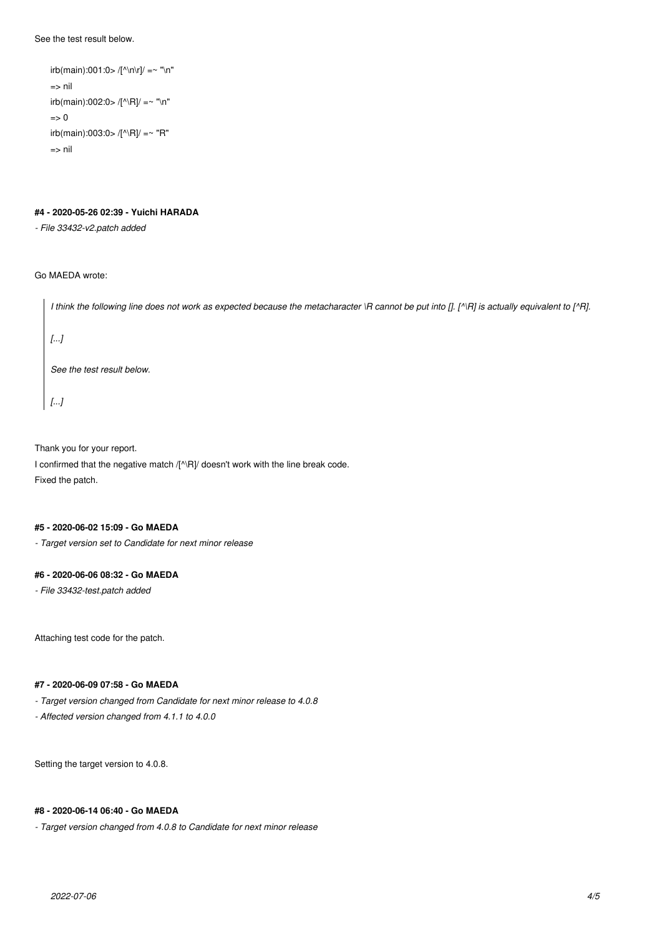See the test result below.

```
irb(main):001:0> /[^{\wedge}n\rceil/ = \sim "\n"=> nil
irb(main):002:0> /[^\R]/ =~ "\n" 
\Rightarrow 0
irb(main):003:0>/[^{\wedge}R]/ =^{\sim} "R"=> nil
```
# **#4 - 2020-05-26 02:39 - Yuichi HARADA**

*- File 33432-v2.patch added*

#### Go MAEDA wrote:

| I think the following line does not work as expected because the metacharacter \R cannot be put into []. [^\R] is actually equivalent to [^R]. |
|------------------------------------------------------------------------------------------------------------------------------------------------|
| []                                                                                                                                             |
| See the test result below.                                                                                                                     |
| []                                                                                                                                             |

Thank you for your report.

I confirmed that the negative match /[^\R]/ doesn't work with the line break code. Fixed the patch.

#### **#5 - 2020-06-02 15:09 - Go MAEDA**

*- Target version set to Candidate for next minor release*

#### **#6 - 2020-06-06 08:32 - Go MAEDA**

*- File 33432-test.patch added*

Attaching test code for the patch.

# **#7 - 2020-06-09 07:58 - Go MAEDA**

*- Target version changed from Candidate for next minor release to 4.0.8*

*- Affected version changed from 4.1.1 to 4.0.0*

Setting the target version to 4.0.8.

#### **#8 - 2020-06-14 06:40 - Go MAEDA**

*- Target version changed from 4.0.8 to Candidate for next minor release*